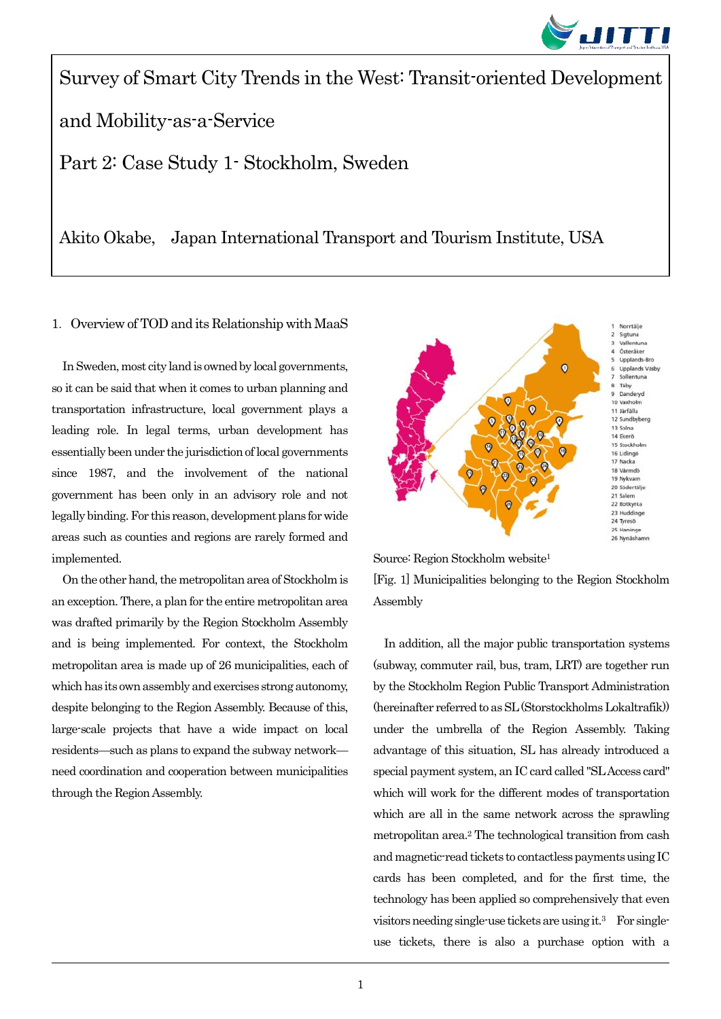

Survey of Smart City Trends in the West: Transit-oriented Development and Mobility-as-a-Service Part 2: Case Study 1- Stockholm, Sweden

Akito Okabe, Japan International Transport and Tourism Institute, USA

## 1. Overview of TOD and its Relationship with MaaS

In Sweden, most city land is owned by local governments, so it can be said that when it comes to urban planning and transportation infrastructure, local government plays a leading role. In legal terms, urban development has essentially been under the jurisdiction of local governments since 1987, and the involvement of the national government has been only in an advisory role and not legally binding. For this reason, development plans for wide areas such as counties and regions are rarely formed and implemented.

On the other hand, the metropolitan area of Stockholm is an exception. There, a plan for the entire metropolitan area was drafted primarily by the Region Stockholm Assembly and is being implemented. For context, the Stockholm metropolitan area is made up of 26 municipalities, each of which has its own assembly and exercises strong autonomy, despite belonging to the Region Assembly. Because of this, large-scale projects that have a wide impact on local residents—such as plans to expand the subway network need coordination and cooperation between municipalities through the Region Assembly.

Ξ



Source: Region Stockholm website<sup>1</sup> [Fig. 1] Municipalities belonging to the Region Stockholm Assembly

In addition, all the major public transportation systems (subway, commuter rail, bus, tram, LRT) are together run by the Stockholm Region Public Transport Administration (hereinafter referred to as SL (Storstockholms Lokaltrafik)) under the umbrella of the Region Assembly. Taking advantage of this situation, SL has already introduced a special payment system, an IC card called "SL Access card" which will work for the different modes of transportation which are all in the same network across the sprawling metropolitan area.<sup>2</sup> The technological transition from cash and magnetic-read tickets to contactless payments using IC cards has been completed, and for the first time, the technology has been applied so comprehensively that even visitors needing single-use tickets are using it.<sup>3</sup> For singleuse tickets, there is also a purchase option with a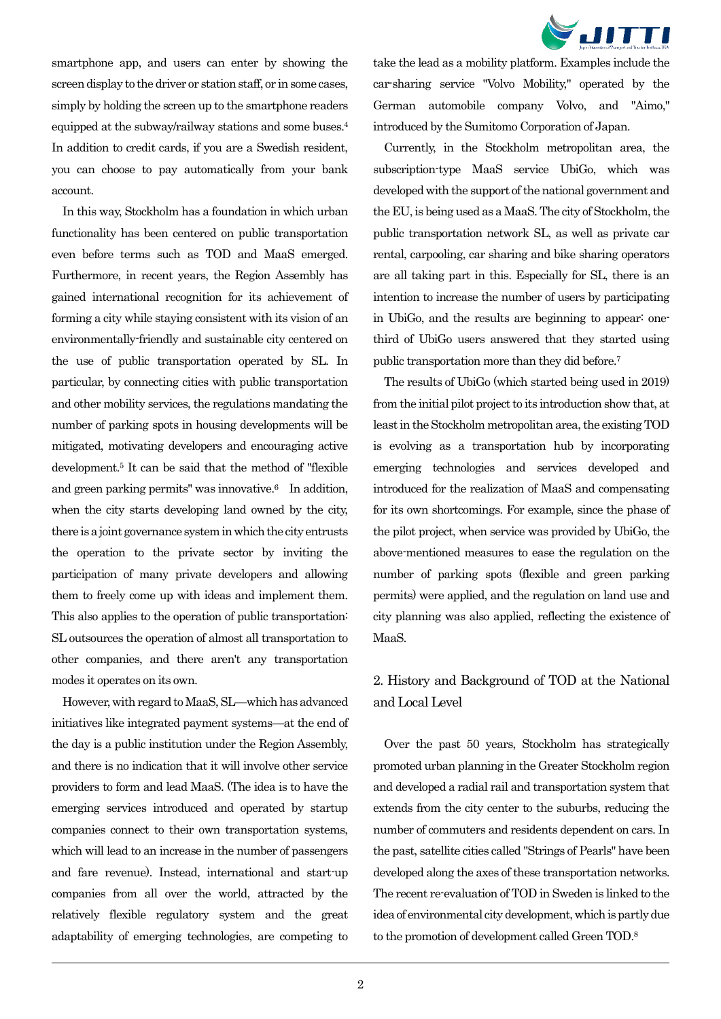

smartphone app, and users can enter by showing the screen display to the driver or station staff, or in some cases, simply by holding the screen up to the smartphone readers equipped at the subway/railway stations and some buses.<sup>4</sup> In addition to credit cards, if you are a Swedish resident, you can choose to pay automatically from your bank account.

In this way, Stockholm has a foundation in which urban functionality has been centered on public transportation even before terms such as TOD and MaaS emerged. Furthermore, in recent years, the Region Assembly has gained international recognition for its achievement of forming a city while staying consistent with its vision of an environmentally-friendly and sustainable city centered on the use of public transportation operated by SL. In particular, by connecting cities with public transportation and other mobility services, the regulations mandating the number of parking spots in housing developments will be mitigated, motivating developers and encouraging active development.<sup>5</sup> It can be said that the method of "flexible and green parking permits" was innovative. <sup>6</sup> In addition, when the city starts developing land owned by the city, there is a joint governance system in which the city entrusts the operation to the private sector by inviting the participation of many private developers and allowing them to freely come up with ideas and implement them. This also applies to the operation of public transportation: SL outsources the operation of almost all transportation to other companies, and there aren't any transportation modes it operates on its own.

However, with regard to MaaS, SL—which has advanced initiatives like integrated payment systems—at the end of the day is a public institution under the Region Assembly, and there is no indication that it will involve other service providers to form and lead MaaS. (The idea is to have the emerging services introduced and operated by startup companies connect to their own transportation systems, which will lead to an increase in the number of passengers and fare revenue). Instead, international and start-up companies from all over the world, attracted by the relatively flexible regulatory system and the great adaptability of emerging technologies, are competing to

Ξ

take the lead as a mobility platform. Examples include the car-sharing service "Volvo Mobility," operated by the German automobile company Volvo, and "Aimo," introduced by the Sumitomo Corporation of Japan.

Currently, in the Stockholm metropolitan area, the subscription-type MaaS service UbiGo, which was developed with the support of the national government and the EU, is being used as a MaaS. The city of Stockholm, the public transportation network SL, as well as private car rental, carpooling, car sharing and bike sharing operators are all taking part in this. Especially for SL, there is an intention to increase the number of users by participating in UbiGo, and the results are beginning to appear: onethird of UbiGo users answered that they started using public transportation more than they did before.<sup>7</sup>

The results of UbiGo (which started being used in 2019) from the initial pilot project to its introduction show that, at least in the Stockholm metropolitan area, the existing TOD is evolving as a transportation hub by incorporating emerging technologies and services developed and introduced for the realization of MaaS and compensating for its own shortcomings. For example, since the phase of the pilot project, when service was provided by UbiGo, the above-mentioned measures to ease the regulation on the number of parking spots (flexible and green parking permits) were applied, and the regulation on land use and city planning was also applied, reflecting the existence of MaaS.

# 2. History and Background of TOD at the National and Local Level

Over the past 50 years, Stockholm has strategically promoted urban planning in the Greater Stockholm region and developed a radial rail and transportation system that extends from the city center to the suburbs, reducing the number of commuters and residents dependent on cars. In the past, satellite cities called "Strings of Pearls" have been developed along the axes of these transportation networks. The recent re-evaluation of TOD in Sweden is linked to the idea of environmental city development, which is partly due to the promotion of development called Green TOD.8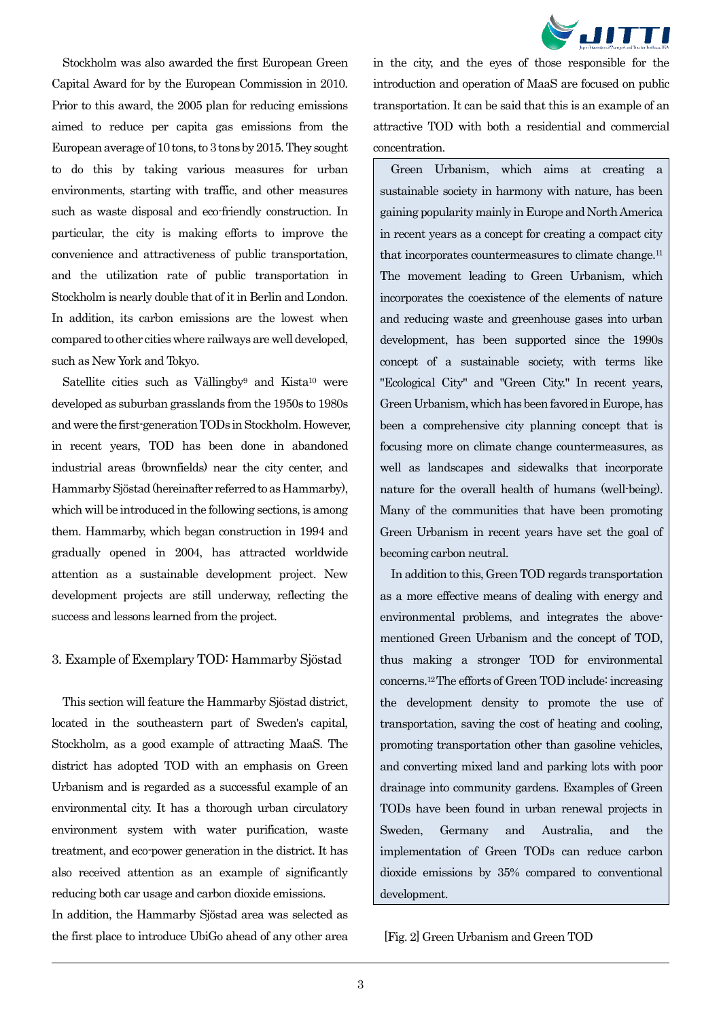

Stockholm was also awarded the first European Green Capital Award for by the European Commission in 2010. Prior to this award, the 2005 plan for reducing emissions aimed to reduce per capita gas emissions from the European average of 10 tons, to 3 tons by 2015. They sought to do this by taking various measures for urban environments, starting with traffic, and other measures such as waste disposal and eco-friendly construction. In particular, the city is making efforts to improve the convenience and attractiveness of public transportation, and the utilization rate of public transportation in Stockholm is nearly double that of it in Berlin and London. In addition, its carbon emissions are the lowest when compared to other cities where railways are well developed, such as New York and Tokyo.

Satellite cities such as Vällingby<sup>9</sup> and Kista<sup>10</sup> were developed as suburban grasslands from the 1950s to 1980s and were the first-generation TODs in Stockholm.However, in recent years, TOD has been done in abandoned industrial areas (brownfields) near the city center, and Hammarby Sjöstad(hereinafter referred to as Hammarby), which will be introduced in the following sections, is among them. Hammarby, which began construction in 1994 and gradually opened in 2004, has attracted worldwide attention as a sustainable development project. New development projects are still underway, reflecting the success and lessons learned from the project.

## 3. Example of Exemplary TOD: Hammarby Sjöstad

This section will feature the Hammarby Sjöstad district, located in the southeastern part of Sweden's capital, Stockholm, as a good example of attracting MaaS. The district has adopted TOD with an emphasis on Green Urbanism and is regarded as a successful example of an environmental city. It has a thorough urban circulatory environment system with water purification, waste treatment, and eco-power generation in the district. It has also received attention as an example of significantly reducing both car usage and carbon dioxide emissions.

In addition, the Hammarby Sjöstad area was selected as the first place to introduce UbiGo ahead of any other area

Ξ

in the city, and the eyes of those responsible for the introduction and operation of MaaS are focused on public transportation. It can be said that this is an example of an attractive TOD with both a residential and commercial concentration.

Green Urbanism, which aims at creating a sustainable society in harmony with nature, has been gaining popularity mainly in Europe and North America in recent years as a concept for creating a compact city that incorporates countermeasures to climate change.<sup>11</sup> The movement leading to Green Urbanism, which incorporates the coexistence of the elements of nature and reducing waste and greenhouse gases into urban development, has been supported since the 1990s concept of a sustainable society, with terms like "Ecological City" and "Green City." In recent years, Green Urbanism, which has been favored in Europe, has been a comprehensive city planning concept that is focusing more on climate change countermeasures, as well as landscapes and sidewalks that incorporate nature for the overall health of humans (well-being). Many of the communities that have been promoting Green Urbanism in recent years have set the goal of becoming carbon neutral.

In addition to this, Green TOD regards transportation as a more effective means of dealing with energy and environmental problems, and integrates the abovementioned Green Urbanism and the concept of TOD, thus making a stronger TOD for environmental concerns.12The efforts of Green TOD include: increasing the development density to promote the use of transportation, saving the cost of heating and cooling, promoting transportation other than gasoline vehicles, and converting mixed land and parking lots with poor drainage into community gardens. Examples of Green TODs have been found in urban renewal projects in Sweden, Germany and Australia, and the implementation of Green TODs can reduce carbon dioxide emissions by 35% compared to conventional development.

[Fig. 2] Green Urbanism and Green TOD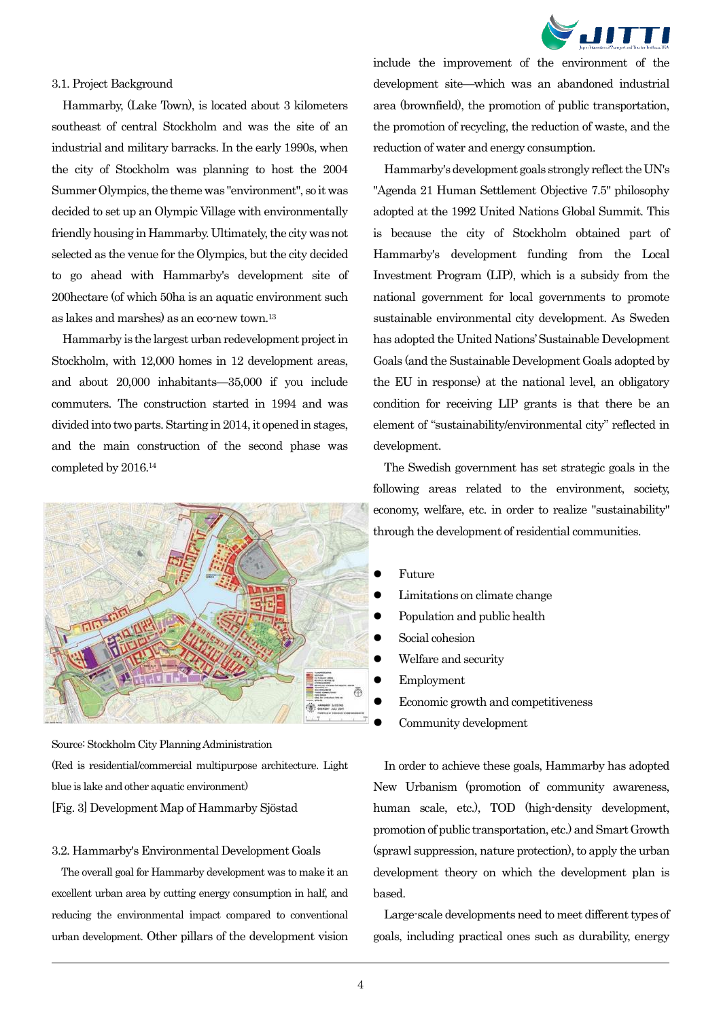

#### 3.1. Project Background

Hammarby, (Lake Town), is located about 3 kilometers southeast of central Stockholm and was the site of an industrial and military barracks. In the early 1990s, when the city of Stockholm was planning to host the 2004 Summer Olympics, the theme was "environment", so it was decided to set up an Olympic Village with environmentally friendly housing in Hammarby. Ultimately, the city was not selected as the venue for the Olympics, but the city decided to go ahead with Hammarby's development site of 200hectare (of which 50ha is an aquatic environment such as lakes and marshes) as an eco-new town.<sup>13</sup>

Hammarby is the largest urban redevelopment project in Stockholm, with 12,000 homes in 12 development areas, and about 20,000 inhabitants—35,000 if you include commuters. The construction started in 1994 and was divided into two parts.Starting in 2014, it opened in stages, and the main construction of the second phase was completed by 2016.<sup>14</sup>



Source: Stockholm City Planning Administration (Red is residential/commercial multipurpose architecture. Light blue is lake and other aquatic environment) [Fig. 3] Development Map of Hammarby Sjöstad

#### 3.2. Hammarby's Environmental Development Goals

Ξ

The overall goal for Hammarby development was to make it an excellent urban area by cutting energy consumption in half, and reducing the environmental impact compared to conventional urban development. Other pillars of the development vision include the improvement of the environment of the development site—which was an abandoned industrial area (brownfield), the promotion of public transportation, the promotion of recycling, the reduction of waste, and the reduction of water and energy consumption.

Hammarby's development goals strongly reflect the UN's "Agenda 21 Human Settlement Objective 7.5" philosophy adopted at the 1992 United Nations Global Summit. This is because the city of Stockholm obtained part of Hammarby's development funding from the Local Investment Program (LIP), which is a subsidy from the national government for local governments to promote sustainable environmental city development. As Sweden has adopted the United Nations' Sustainable Development Goals (and the Sustainable Development Goals adopted by the EU in response) at the national level, an obligatory condition for receiving LIP grants is that there be an element of "sustainability/environmental city" reflected in development.

The Swedish government has set strategic goals in the following areas related to the environment, society, economy, welfare, etc. in order to realize "sustainability" through the development of residential communities.

- Future
- Limitations on climate change
- Population and public health
- Social cohesion
- Welfare and security
- Employment
- Economic growth and competitiveness
- Community development

In order to achieve these goals, Hammarby has adopted New Urbanism (promotion of community awareness, human scale, etc.), TOD (high-density development, promotion of public transportation, etc.) and Smart Growth (sprawl suppression, nature protection), to apply the urban development theory on which the development plan is based.

Large-scale developments need to meet different types of goals, including practical ones such as durability, energy